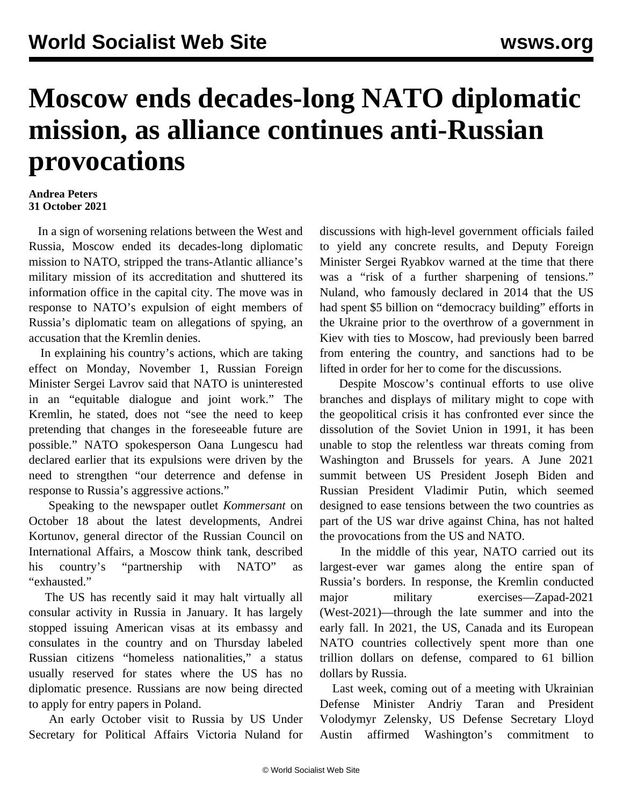## **Moscow ends decades-long NATO diplomatic mission, as alliance continues anti-Russian provocations**

## **Andrea Peters 31 October 2021**

 In a sign of worsening relations between the West and Russia, Moscow ended its decades-long diplomatic mission to NATO, stripped the trans-Atlantic alliance's military mission of its accreditation and shuttered its information office in the capital city. The move was in response to NATO's expulsion of eight members of Russia's diplomatic team on allegations of spying, an accusation that the Kremlin denies.

 In explaining his country's actions, which are taking effect on Monday, November 1, Russian Foreign Minister Sergei Lavrov said that NATO is uninterested in an "equitable dialogue and joint work." The Kremlin, he stated, does not "see the need to keep pretending that changes in the foreseeable future are possible." NATO spokesperson Oana Lungescu had declared earlier that its expulsions were driven by the need to strengthen "our deterrence and defense in response to Russia's aggressive actions."

 Speaking to the newspaper outlet *Kommersant* on October 18 about the latest developments, Andrei Kortunov, general director of the Russian Council on International Affairs, a Moscow think tank, described his country's "partnership with NATO" as "exhausted."

 The US has recently said it may halt virtually all consular activity in Russia in January. It has largely stopped issuing American visas at its embassy and consulates in the country and on Thursday labeled Russian citizens "homeless nationalities," a status usually reserved for states where the US has no diplomatic presence. Russians are now being directed to apply for entry papers in Poland.

 An early October visit to Russia by US Under Secretary for Political Affairs Victoria Nuland for

discussions with high-level government officials failed to yield any concrete results, and Deputy Foreign Minister Sergei Ryabkov warned at the time that there was a "risk of a further sharpening of tensions." Nuland, who famously declared in 2014 that the US had spent \$5 billion on "democracy building" efforts in the Ukraine prior to the overthrow of a government in Kiev with ties to Moscow, had previously been barred from entering the country, and sanctions had to be lifted in order for her to come for the discussions.

 Despite Moscow's continual efforts to use olive branches and displays of military might to cope with the geopolitical crisis it has confronted ever since the dissolution of the Soviet Union in 1991, it has been unable to stop the relentless war threats coming from Washington and Brussels for years. A June 2021 summit between US President Joseph Biden and Russian President Vladimir Putin, which seemed designed to ease tensions between the two countries as part of the US war drive against China, has not halted the provocations from the US and NATO.

 In the middle of this year, NATO carried out [its](/en/articles/2021/05/13/nato-m13.html) [largest-ever war games](/en/articles/2021/05/13/nato-m13.html) along the entire span of Russia's borders. In response, the Kremlin conducted major military exercises—Zapad-2021 (West-2021)—through the late summer and into the early fall. In 2021, the US, Canada and its European NATO countries collectively spent more than one trillion dollars on defense, compared to 61 billion dollars by Russia.

 Last week, coming out of a meeting with Ukrainian Defense Minister Andriy Taran and President Volodymyr Zelensky, US Defense Secretary Lloyd Austin affirmed Washington's commitment to